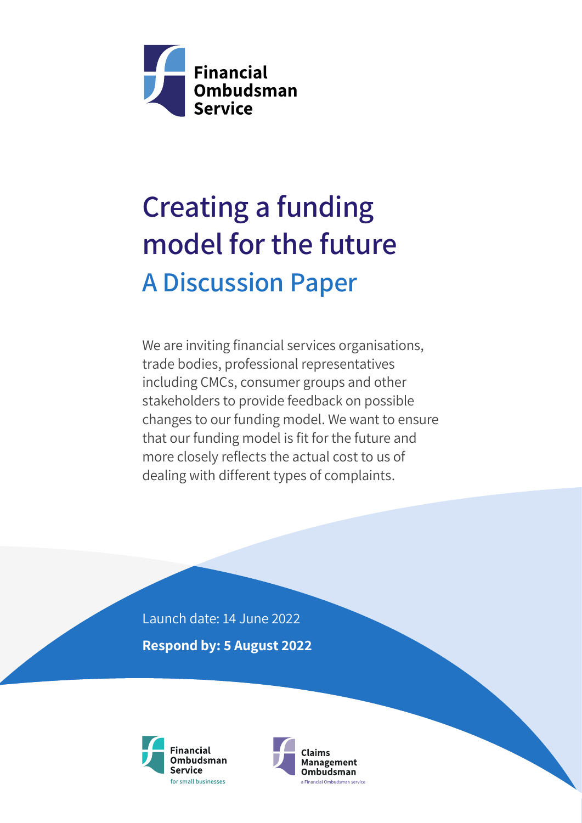

# Creating a funding model for the future A Discussion Paper

We are inviting financial services organisations, trade bodies, professional representatives including CMCs, consumer groups and other stakeholders to provide feedback on possible changes to our funding model. We want to ensure that our funding model is fit for the future and more closely reflects the actual cost to us of dealing with different types of complaints.

Launch date: 14 June 2022 Respond by: 5 August 2022



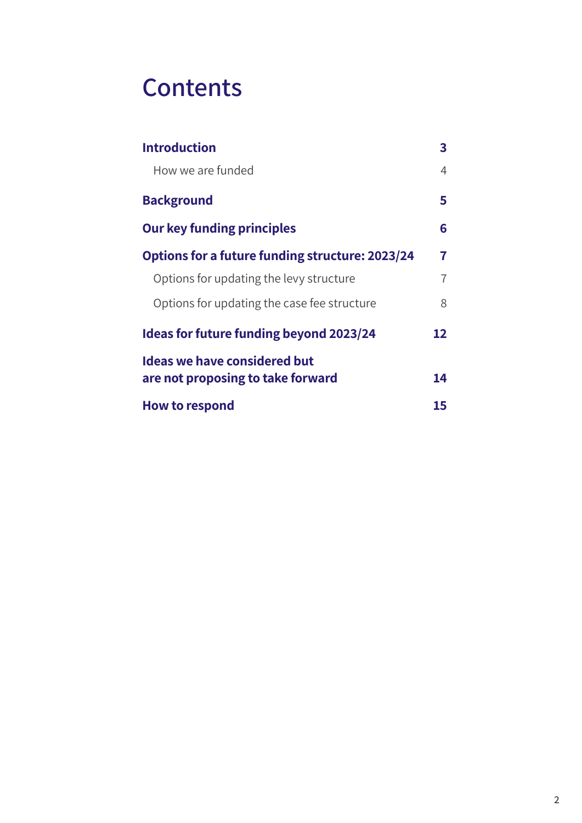### **Contents**

| <b>Introduction</b>                             | 3              |
|-------------------------------------------------|----------------|
| How we are funded                               | $\overline{4}$ |
| <b>Background</b>                               | 5              |
| <b>Our key funding principles</b>               | 6              |
| Options for a future funding structure: 2023/24 | 7              |
| Options for updating the levy structure         | $\overline{1}$ |
| Options for updating the case fee structure     | 8              |
| <b>Ideas for future funding beyond 2023/24</b>  | 12             |
| <b>Ideas we have considered but</b>             |                |
| are not proposing to take forward               | 14             |
| <b>How to respond</b>                           | 15             |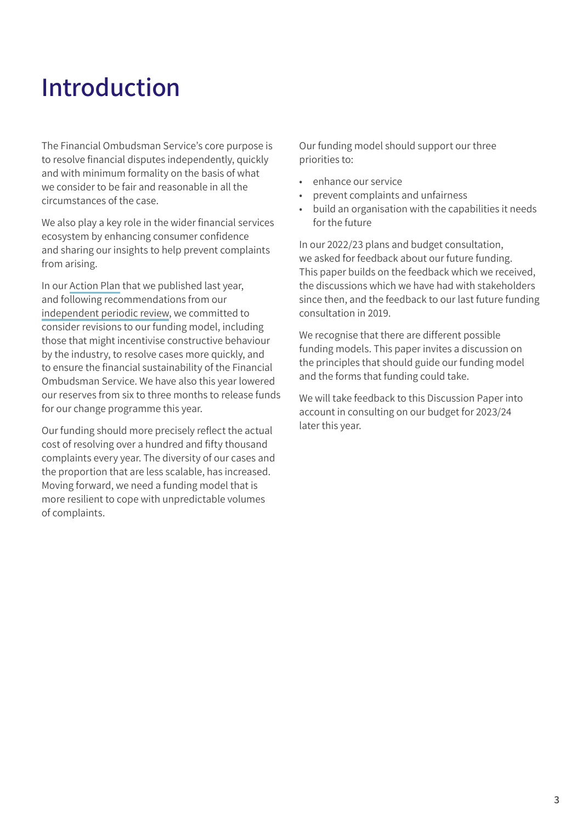## <span id="page-2-0"></span>Introduction

The Financial Ombudsman Service's core purpose is to resolve financial disputes independently, quickly and with minimum formality on the basis of what we consider to be fair and reasonable in all the circumstances of the case.

We also play a key role in the wider financial services ecosystem by enhancing consumer confidence and sharing our insights to help prevent complaints from arising.

In our [Action Plan](https://www.financial-ombudsman.org.uk/who-we-are/governance-funding/action-plan-2021?utm_source=document&utm_medium=pdf&utm_campaign=funding-consultation-2022) that we published last year, and following recommendations from our [independent periodic review,](https://www.financial-ombudsman.org.uk/files/319444/independent-periodic-review-2021.pdf?utm_source=document&utm_medium=pdf&utm_campaign=funding-consultation-2022) we committed to consider revisions to our funding model, including those that might incentivise constructive behaviour by the industry, to resolve cases more quickly, and to ensure the financial sustainability of the Financial Ombudsman Service. We have also this year lowered our reserves from six to three months to release funds for our change programme this year.

Our funding should more precisely reflect the actual cost of resolving over a hundred and fifty thousand complaints every year. The diversity of our cases and the proportion that are less scalable, has increased. Moving forward, we need a funding model that is more resilient to cope with unpredictable volumes of complaints.

Our funding model should support our three priorities to:

- enhance our service
- prevent complaints and unfairness
- build an organisation with the capabilities it needs for the future

In our 2022/23 plans and budget consultation, we asked for feedback about our future funding. This paper builds on the feedback which we received, the discussions which we have had with stakeholders since then, and the feedback to our last future funding consultation in 2019.

We recognise that there are different possible funding models. This paper invites a discussion on the principles that should guide our funding model and the forms that funding could take.

We will take feedback to this Discussion Paper into account in consulting on our budget for 2023/24 later this year.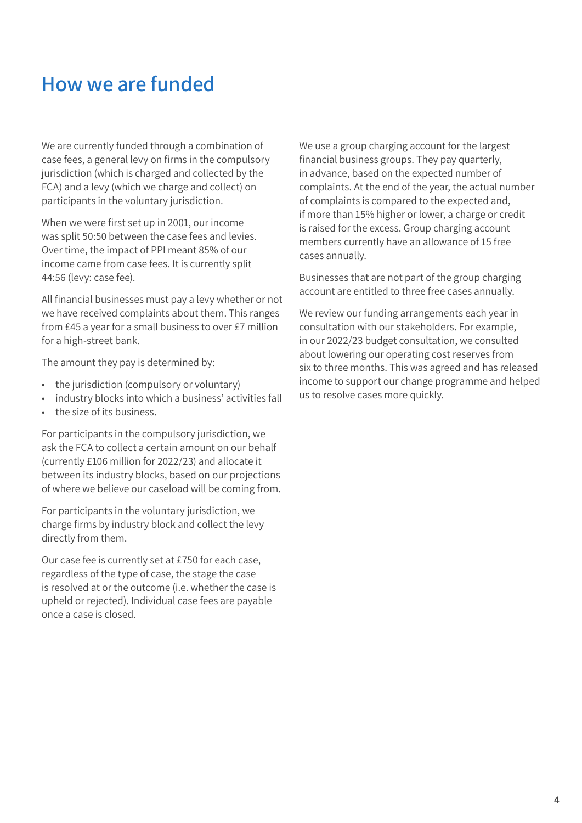### <span id="page-3-0"></span>How we are funded

We are currently funded through a combination of case fees, a general levy on firms in the compulsory jurisdiction (which is charged and collected by the FCA) and a levy (which we charge and collect) on participants in the voluntary jurisdiction.

When we were first set up in 2001, our income was split 50:50 between the case fees and levies. Over time, the impact of PPI meant 85% of our income came from case fees. It is currently split 44:56 (levy: case fee).

All financial businesses must pay a levy whether or not we have received complaints about them. This ranges from £45 a year for a small business to over £7 million for a high-street bank.

The amount they pay is determined by:

- the jurisdiction (compulsory or voluntary)
- industry blocks into which a business' activities fall
- the size of its business.

For participants in the compulsory jurisdiction, we ask the FCA to collect a certain amount on our behalf (currently £106 million for 2022/23) and allocate it between its industry blocks, based on our projections of where we believe our caseload will be coming from.

For participants in the voluntary jurisdiction, we charge firms by industry block and collect the levy directly from them.

Our case fee is currently set at £750 for each case, regardless of the type of case, the stage the case is resolved at or the outcome (i.e. whether the case is upheld or rejected). Individual case fees are payable once a case is closed.

We use a group charging account for the largest financial business groups. They pay quarterly, in advance, based on the expected number of complaints. At the end of the year, the actual number of complaints is compared to the expected and, if more than 15% higher or lower, a charge or credit is raised for the excess. Group charging account members currently have an allowance of 15 free cases annually.

Businesses that are not part of the group charging account are entitled to three free cases annually.

We review our funding arrangements each year in consultation with our stakeholders. For example, in our 2022/23 budget consultation, we consulted about lowering our operating cost reserves from six to three months. This was agreed and has released income to support our change programme and helped us to resolve cases more quickly.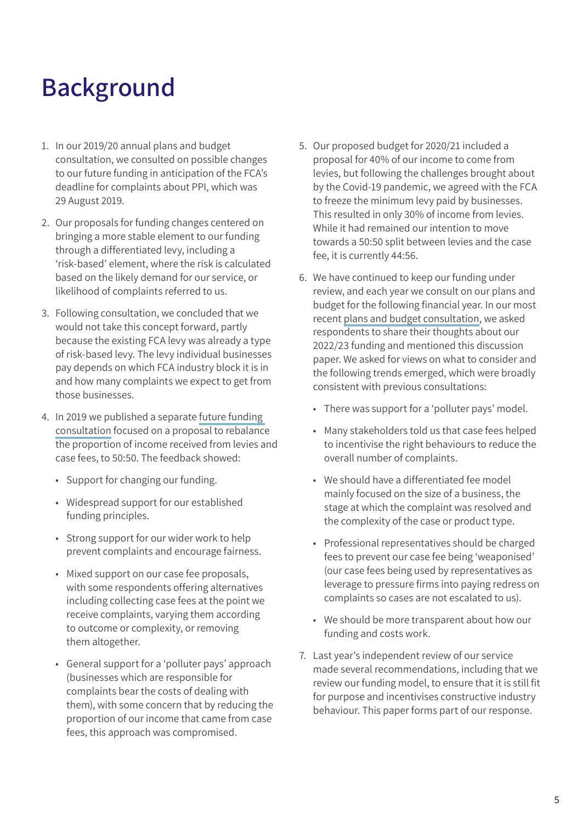## <span id="page-4-0"></span>Background

- 1. In our 2019/20 annual plans and budget consultation, we consulted on possible changes to our future funding in anticipation of the FCA's deadline for complaints about PPI, which was 29 August 2019.
- 2. Our proposals for funding changes centered on bringing a more stable element to our funding through a differentiated levy, including a 'risk‑based' element, where the risk is calculated based on the likely demand for our service, or likelihood of complaints referred to us.
- 3. Following consultation, we concluded that we would not take this concept forward, partly because the existing FCA levy was already a type of risk-based levy. The levy individual businesses pay depends on which FCA industry block it is in and how many complaints we expect to get from those businesses.
- 4. In 2019 we published a separate [future funding](https://www.financial-ombudsman.org.uk/files/232245/our-future-funding-a-consultation.pdf?utm_source=document&utm_medium=pdf&utm_campaign=funding-consultation-2022)  [consultation](https://www.financial-ombudsman.org.uk/files/232245/our-future-funding-a-consultation.pdf?utm_source=document&utm_medium=pdf&utm_campaign=funding-consultation-2022) focused on a proposal to rebalance the proportion of income received from levies and case fees, to 50:50. The feedback showed:
	- Support for changing our funding.
	- Widespread support for our established funding principles.
	- Strong support for our wider work to help prevent complaints and encourage fairness.
	- Mixed support on our case fee proposals, with some respondents offering alternatives including collecting case fees at the point we receive complaints, varying them according to outcome or complexity, or removing them altogether.
	- General support for a 'polluter pays' approach (businesses which are responsible for complaints bear the costs of dealing with them), with some concern that by reducing the proportion of our income that came from case fees, this approach was compromised.
- 5. Our proposed budget for 2020/21 included a proposal for 40% of our income to come from levies, but following the challenges brought about by the Covid-19 pandemic, we agreed with the FCA to freeze the minimum levy paid by businesses. This resulted in only 30% of income from levies. While it had remained our intention to move towards a 50:50 split between levies and the case fee, it is currently 44:56.
- 6. We have continued to keep our funding under review, and each year we consult on our plans and budget for the following financial year. In our most recent [plans and budget consultation](https://www.financial-ombudsman.org.uk/files/320493/plans-and-budget-consultation-2022-23.pdf?utm_source=document&utm_medium=pdf&utm_campaign=funding-consultation-2022), we asked respondents to share their thoughts about our 2022/23 funding and mentioned this discussion paper. We asked for views on what to consider and the following trends emerged, which were broadly consistent with previous consultations:
	- There was support for a 'polluter pays' model.
	- Many stakeholders told us that case fees helped to incentivise the right behaviours to reduce the overall number of complaints.
	- We should have a differentiated fee model mainly focused on the size of a business, the stage at which the complaint was resolved and the complexity of the case or product type.
	- Professional representatives should be charged fees to prevent our case fee being 'weaponised' (our case fees being used by representatives as leverage to pressure firms into paying redress on complaints so cases are not escalated to us).
	- We should be more transparent about how our funding and costs work.
- 7. Last year's independent review of our service made several recommendations, including that we review our funding model, to ensure that it is still fit for purpose and incentivises constructive industry behaviour. This paper forms part of our response.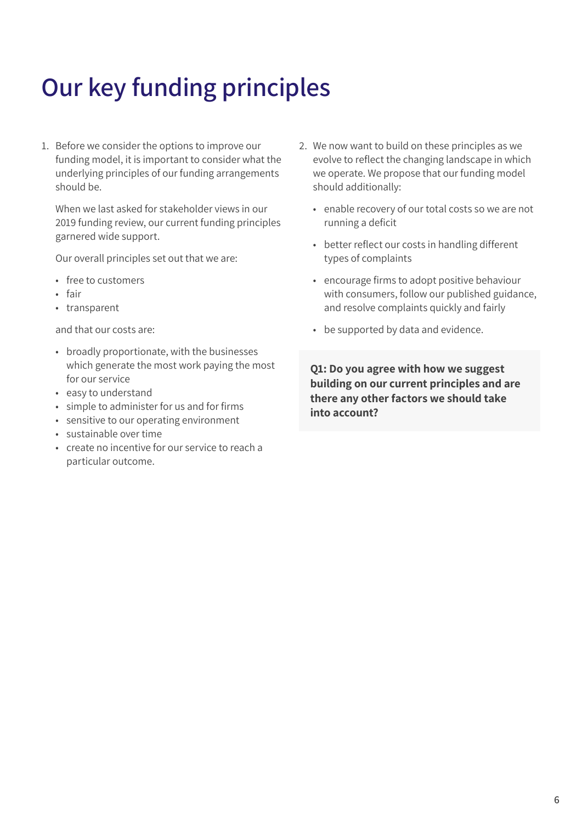# <span id="page-5-0"></span>Our key funding principles

1. Before we consider the options to improve our funding model, it is important to consider what the underlying principles of our funding arrangements should be.

When we last asked for stakeholder views in our 2019 funding review, our current funding principles garnered wide support.

Our overall principles set out that we are:

- free to customers
- fair
- transparent

and that our costs are:

- broadly proportionate, with the businesses which generate the most work paying the most for our service
- easy to understand
- simple to administer for us and for firms
- sensitive to our operating environment
- sustainable over time
- create no incentive for our service to reach a particular outcome.
- 2. We now want to build on these principles as we evolve to reflect the changing landscape in which we operate. We propose that our funding model should additionally:
	- enable recovery of our total costs so we are not running a deficit
	- better reflect our costs in handling different types of complaints
	- encourage firms to adopt positive behaviour with consumers, follow our published guidance, and resolve complaints quickly and fairly
	- be supported by data and evidence.

Q1: Do you agree with how we suggest building on our current principles and are there any other factors we should take into account?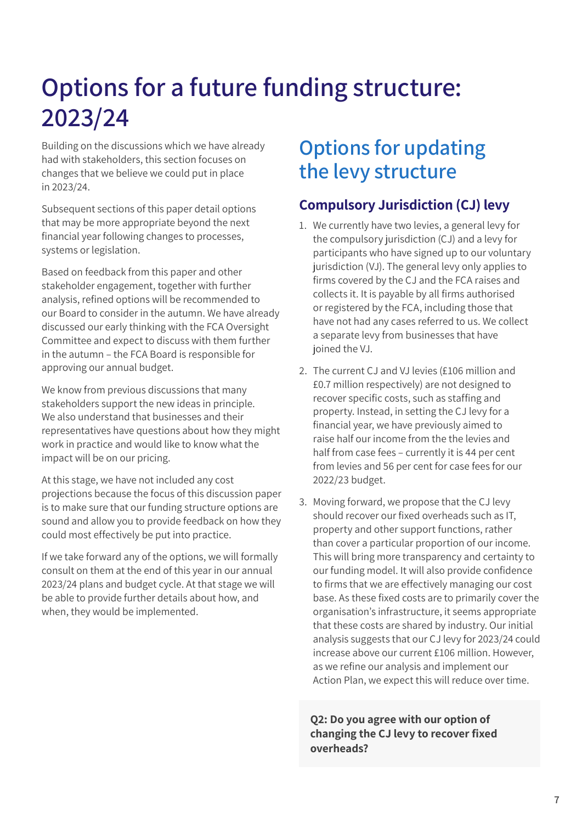## <span id="page-6-0"></span>Options for a future funding structure: 2023/24

Building on the discussions which we have already had with stakeholders, this section focuses on changes that we believe we could put in place in 2023/24.

Subsequent sections of this paper detail options that may be more appropriate beyond the next financial year following changes to processes, systems or legislation.

Based on feedback from this paper and other stakeholder engagement, together with further analysis, refined options will be recommended to our Board to consider in the autumn. We have already discussed our early thinking with the FCA Oversight Committee and expect to discuss with them further in the autumn – the FCA Board is responsible for approving our annual budget.

We know from previous discussions that many stakeholders support the new ideas in principle. We also understand that businesses and their representatives have questions about how they might work in practice and would like to know what the impact will be on our pricing.

At this stage, we have not included any cost projections because the focus of this discussion paper is to make sure that our funding structure options are sound and allow you to provide feedback on how they could most effectively be put into practice.

If we take forward any of the options, we will formally consult on them at the end of this year in our annual 2023/24 plans and budget cycle. At that stage we will be able to provide further details about how, and when, they would be implemented.

### Options for updating the levy structure

### Compulsory Jurisdiction (CJ) levy

- 1. We currently have two levies, a general levy for the compulsory jurisdiction (CJ) and a levy for participants who have signed up to our voluntary jurisdiction (VJ). The general levy only applies to firms covered by the CJ and the FCA raises and collects it. It is payable by all firms authorised or registered by the FCA, including those that have not had any cases referred to us. We collect a separate levy from businesses that have joined the VJ.
- 2. The current CJ and VJ levies (£106 million and £0.7 million respectively) are not designed to recover specific costs, such as staffing and property. Instead, in setting the CJ levy for a financial year, we have previously aimed to raise half our income from the the levies and half from case fees – currently it is 44 per cent from levies and 56 per cent for case fees for our 2022/23 budget.
- 3. Moving forward, we propose that the CJ levy should recover our fixed overheads such as IT, property and other support functions, rather than cover a particular proportion of our income. This will bring more transparency and certainty to our funding model. It will also provide confidence to firms that we are effectively managing our cost base. As these fixed costs are to primarily cover the organisation's infrastructure, it seems appropriate that these costs are shared by industry. Our initial analysis suggests that our CJ levy for 2023/24 could increase above our current £106 million. However, as we refine our analysis and implement our Action Plan, we expect this will reduce over time.

Q2: Do you agree with our option of changing the CJ levy to recover fixed overheads?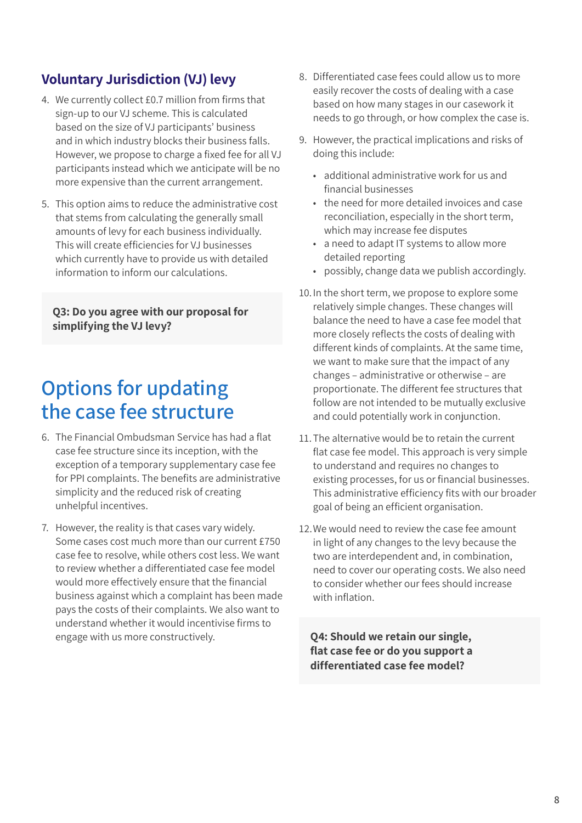### <span id="page-7-0"></span>Voluntary Jurisdiction (VJ) levy

- 4. We currently collect £0.7 million from firms that sign-up to our VJ scheme. This is calculated based on the size of VJ participants' business and in which industry blocks their business falls. However, we propose to charge a fixed fee for all VJ participants instead which we anticipate will be no more expensive than the current arrangement.
- 5. This option aims to reduce the administrative cost that stems from calculating the generally small amounts of levy for each business individually. This will create efficiencies for VJ businesses which currently have to provide us with detailed information to inform our calculations.

Q3: Do you agree with our proposal for simplifying the VJ levy?

### Options for updating the case fee structure

- 6. The Financial Ombudsman Service has had a flat case fee structure since its inception, with the exception of a temporary supplementary case fee for PPI complaints. The benefits are administrative simplicity and the reduced risk of creating unhelpful incentives.
- 7. However, the reality is that cases vary widely. Some cases cost much more than our current £750 case fee to resolve, while others cost less. We want to review whether a differentiated case fee model would more effectively ensure that the financial business against which a complaint has been made pays the costs of their complaints. We also want to understand whether it would incentivise firms to engage with us more constructively.
- 8. Differentiated case fees could allow us to more easily recover the costs of dealing with a case based on how many stages in our casework it needs to go through, or how complex the case is.
- 9. However, the practical implications and risks of doing this include:
	- additional administrative work for us and financial businesses
	- the need for more detailed invoices and case reconciliation, especially in the short term, which may increase fee disputes
	- a need to adapt IT systems to allow more detailed reporting
	- possibly, change data we publish accordingly.
- 10.In the short term, we propose to explore some relatively simple changes. These changes will balance the need to have a case fee model that more closely reflects the costs of dealing with different kinds of complaints. At the same time, we want to make sure that the impact of any changes – administrative or otherwise – are proportionate. The different fee structures that follow are not intended to be mutually exclusive and could potentially work in conjunction.
- 11.The alternative would be to retain the current flat case fee model. This approach is very simple to understand and requires no changes to existing processes, for us or financial businesses. This administrative efficiency fits with our broader goal of being an efficient organisation.
- 12.We would need to review the case fee amount in light of any changes to the levy because the two are interdependent and, in combination, need to cover our operating costs. We also need to consider whether our fees should increase with inflation.

Q4: Should we retain our single, flat case fee or do you support a differentiated case fee model?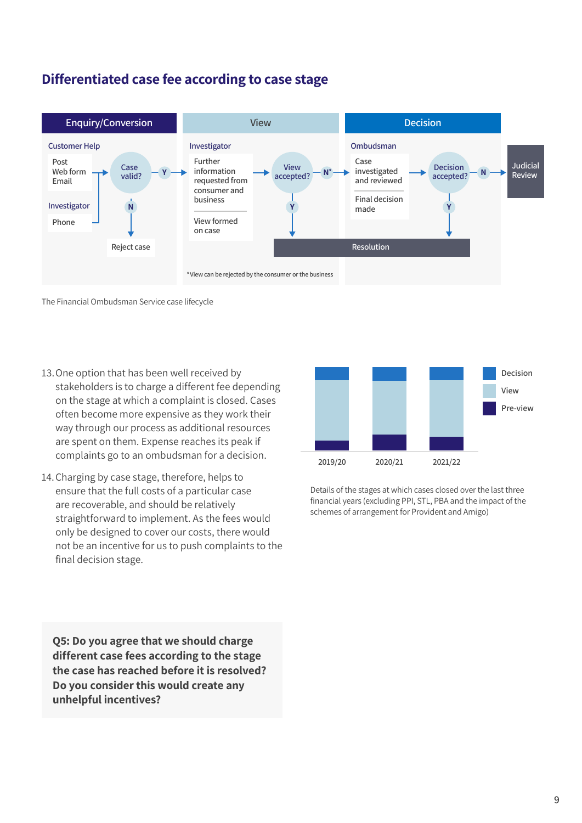### Differentiated case fee according to case stage



The Financial Ombudsman Service case lifecycle

- 13. One option that has been well received by stakeholders is to charge a different fee depending on the stage at which a complaint is closed. Cases often become more expensive as they work their way through our process as additional resources are spent on them. Expense reaches its peak if complaints go to an ombudsman for a decision.
- only be designed to cover our costs, there would<br>not be an incentive for us to push complaints to the 14. Charging by case stage, therefore, helps to ensure that the full costs of a particular case are recoverable, and should be relatively straightforward to implement. As the fees would not be an incentive for us to push complaints to the final decision stage.

**No<br>reas<br>bulp 2,000** unhelpful incentives?**3,000** different case fees according to the stage Q5: Do you agree that we should charge the case has reached before it is resolved? Do you consider this would create any



Details of the stages at which cases closed over the last three financial years (excluding PPI, STL, PBA and the impact of the schemes of arrangement for Provident and Amigo)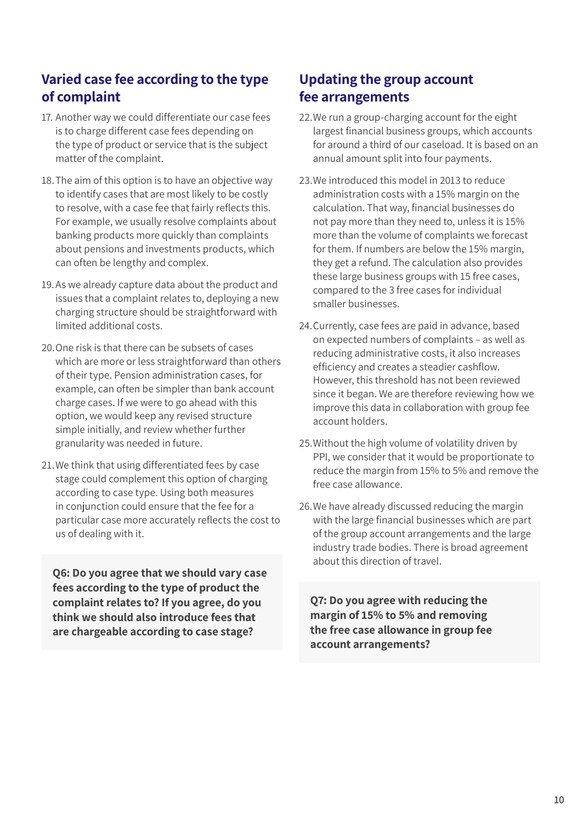### Varied case fee according to the type of complaint

- 17. Another way we could differentiate our case fees is to charge different case fees depending on the type of product or service that is the subject matter of the complaint.
- 18.The aim of this option is to have an objective way to identify cases that are most likely to be costly to resolve, with a case fee that fairly reflects this. For example, we usually resolve complaints about banking products more quickly than complaints about pensions and investments products, which can often be lengthy and complex.
- 19.As we already capture data about the product and issues that a complaint relates to, deploying a new charging structure should be straightforward with limited additional costs.
- 20.One risk is that there can be subsets of cases which are more or less straightforward than others of their type. Pension administration cases, for example, can often be simpler than bank account charge cases. If we were to go ahead with this option, we would keep any revised structure simple initially, and review whether further granularity was needed in future.
- 21.We think that using differentiated fees by case stage could complement this option of charging according to case type. Using both measures in conjunction could ensure that the fee for a particular case more accurately reflects the cost to us of dealing with it.

Q6: Do you agree that we should vary case fees according to the type of product the complaint relates to? If you agree, do you think we should also introduce fees that are chargeable according to case stage?

### Updating the group account fee arrangements

- 22. We run a group-charging account for the eight largest financial business groups, which accounts for around a third of our caseload. It is based on an annual amount split into four payments.
- 23.We introduced this model in 2013 to reduce administration costs with a 15% margin on the calculation. That way, financial businesses do not pay more than they need to, unless it is 15% more than the volume of complaints we forecast for them. If numbers are below the 15% margin, they get a refund. The calculation also provides these large business groups with 15 free cases, compared to the 3 free cases for individual smaller businesses.
- 24.Currently, case fees are paid in advance, based on expected numbers of complaints – as well as reducing administrative costs, it also increases efficiency and creates a steadier cashflow. However, this threshold has not been reviewed since it began. We are therefore reviewing how we improve this data in collaboration with group fee account holders.
- 25.Without the high volume of volatility driven by PPI, we consider that it would be proportionate to reduce the margin from 15% to 5% and remove the free case allowance.
- 26.We have already discussed reducing the margin with the large financial businesses which are part of the group account arrangements and the large industry trade bodies. There is broad agreement about this direction of travel.

Q7: Do you agree with reducing the margin of 15% to 5% and removing the free case allowance in group fee account arrangements?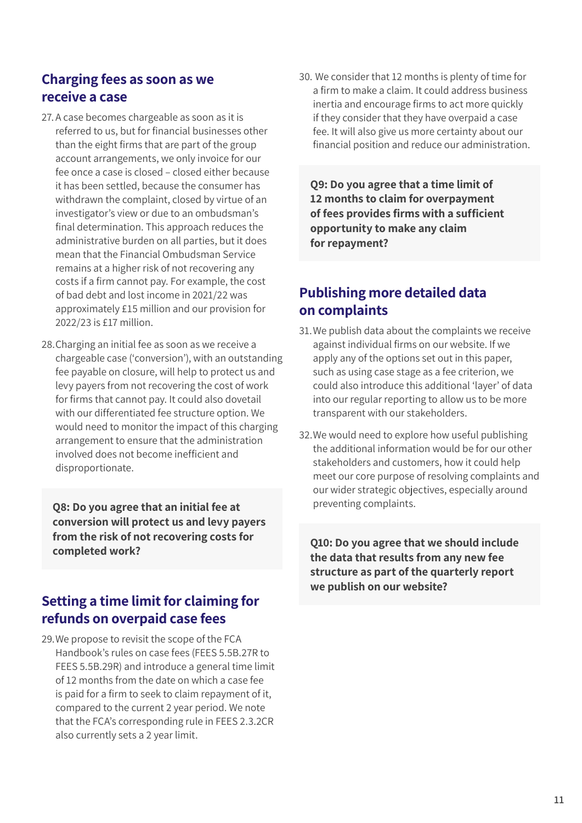### Charging fees as soon as we receive a case

- 27. A case becomes chargeable as soon as it is referred to us, but for financial businesses other than the eight firms that are part of the group account arrangements, we only invoice for our fee once a case is closed – closed either because it has been settled, because the consumer has withdrawn the complaint, closed by virtue of an investigator's view or due to an ombudsman's final determination. This approach reduces the administrative burden on all parties, but it does mean that the Financial Ombudsman Service remains at a higher risk of not recovering any costs if a firm cannot pay. For example, the cost of bad debt and lost income in 2021/22 was approximately £15 million and our provision for 2022/23 is £17 million.
- 28.Charging an initial fee as soon as we receive a chargeable case ('conversion'), with an outstanding fee payable on closure, will help to protect us and levy payers from not recovering the cost of work for firms that cannot pay. It could also dovetail with our differentiated fee structure option. We would need to monitor the impact of this charging arrangement to ensure that the administration involved does not become inefficient and disproportionate.

Q8: Do you agree that an initial fee at conversion will protect us and levy payers from the risk of not recovering costs for completed work?

### Setting a time limit for claiming for refunds on overpaid case fees

29.We propose to revisit the scope of the FCA Handbook's rules on case fees (FEES 5.5B.27R to FEES 5.5B.29R) and introduce a general time limit of 12 months from the date on which a case fee is paid for a firm to seek to claim repayment of it, compared to the current 2 year period. We note that the FCA's corresponding rule in FEES 2.3.2CR also currently sets a 2 year limit.

30. We consider that 12 months is plenty of time for a firm to make a claim. It could address business inertia and encourage firms to act more quickly if they consider that they have overpaid a case fee. It will also give us more certainty about our financial position and reduce our administration.

Q9: Do you agree that a time limit of 12 months to claim for overpayment of fees provides firms with a sufficient opportunity to make any claim for repayment?

### Publishing more detailed data on complaints

- 31.We publish data about the complaints we receive against individual firms on our website. If we apply any of the options set out in this paper, such as using case stage as a fee criterion, we could also introduce this additional 'layer' of data into our regular reporting to allow us to be more transparent with our stakeholders.
- 32.We would need to explore how useful publishing the additional information would be for our other stakeholders and customers, how it could help meet our core purpose of resolving complaints and our wider strategic objectives, especially around preventing complaints.

Q10: Do you agree that we should include the data that results from any new fee structure as part of the quarterly report we publish on our website?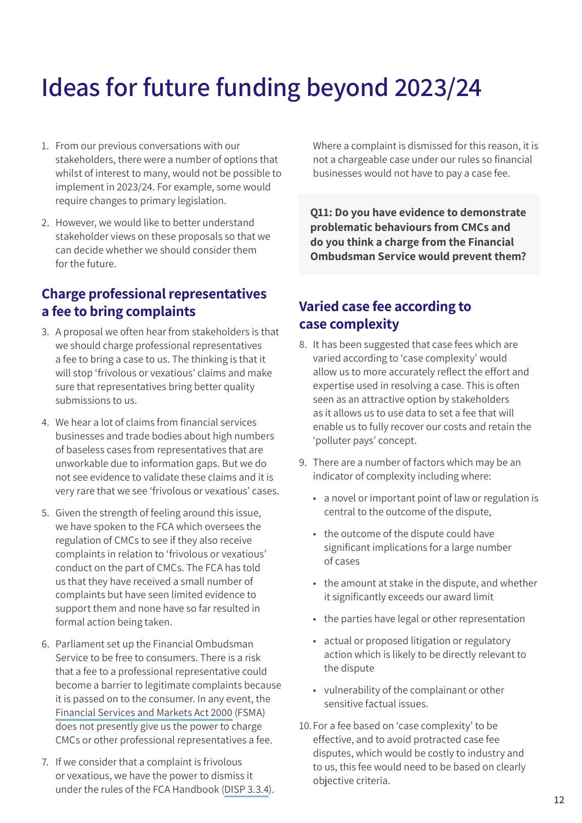# <span id="page-11-0"></span>Ideas for future funding beyond 2023/24

- 1. From our previous conversations with our stakeholders, there were a number of options that whilst of interest to many, would not be possible to implement in 2023/24. For example, some would require changes to primary legislation.
- 2. However, we would like to better understand stakeholder views on these proposals so that we can decide whether we should consider them for the future.

### Charge professional representatives a fee to bring complaints

- 3. A proposal we often hear from stakeholders is that we should charge professional representatives a fee to bring a case to us. The thinking is that it will stop 'frivolous or vexatious' claims and make sure that representatives bring better quality submissions to us.
- 4. We hear a lot of claims from financial services businesses and trade bodies about high numbers of baseless cases from representatives that are unworkable due to information gaps. But we do not see evidence to validate these claims and it is very rare that we see 'frivolous or vexatious' cases.
- 5. Given the strength of feeling around this issue, we have spoken to the FCA which oversees the regulation of CMCs to see if they also receive complaints in relation to 'frivolous or vexatious' conduct on the part of CMCs. The FCA has told us that they have received a small number of complaints but have seen limited evidence to support them and none have so far resulted in formal action being taken.
- 6. Parliament set up the Financial Ombudsman Service to be free to consumers. There is a risk that a fee to a professional representative could become a barrier to legitimate complaints because it is passed on to the consumer. In any event, the [Financial Services and Markets Act 2000](https://www.legislation.gov.uk/ukpga/2000/8/section/230) (FSMA) does not presently give us the power to charge CMCs or other professional representatives a fee.
- 7. If we consider that a complaint is frivolous or vexatious, we have the power to dismiss it under the rules of the FCA Handbook ([DISP 3.3.4\)](https://www.handbook.fca.org.uk/handbook/DISP/3/3.html).

Where a complaint is dismissed for this reason, it is not a chargeable case under our rules so financial businesses would not have to pay a case fee.

Q11: Do you have evidence to demonstrate problematic behaviours from CMCs and do you think a charge from the Financial Ombudsman Service would prevent them?

### Varied case fee according to case complexity

- 8. It has been suggested that case fees which are varied according to 'case complexity' would allow us to more accurately reflect the effort and expertise used in resolving a case. This is often seen as an attractive option by stakeholders as it allows us to use data to set a fee that will enable us to fully recover our costs and retain the 'polluter pays' concept.
- 9. There are a number of factors which may be an indicator of complexity including where:
	- a novel or important point of law or regulation is central to the outcome of the dispute,
	- the outcome of the dispute could have significant implications for a large number of cases
	- the amount at stake in the dispute, and whether it significantly exceeds our award limit
	- the parties have legal or other representation
	- actual or proposed litigation or regulatory action which is likely to be directly relevant to the dispute
	- vulnerability of the complainant or other sensitive factual issues.
- 10.For a fee based on 'case complexity' to be effective, and to avoid protracted case fee disputes, which would be costly to industry and to us, this fee would need to be based on clearly objective criteria.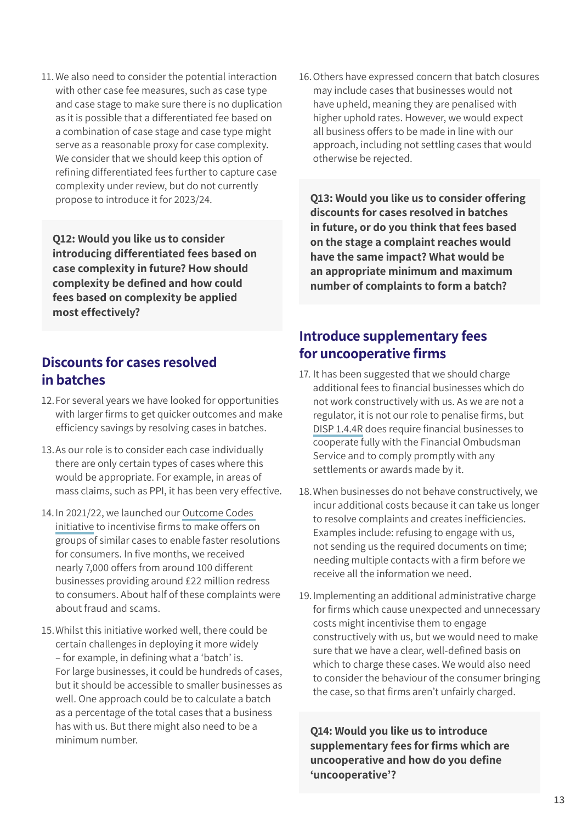11.We also need to consider the potential interaction with other case fee measures, such as case type and case stage to make sure there is no duplication as it is possible that a differentiated fee based on a combination of case stage and case type might serve as a reasonable proxy for case complexity. We consider that we should keep this option of refining differentiated fees further to capture case complexity under review, but do not currently propose to introduce it for 2023/24.

Q12: Would you like us to consider introducing differentiated fees based on case complexity in future? How should complexity be defined and how could fees based on complexity be applied most effectively?

#### Discounts for cases resolved in batches

- 12.For several years we have looked for opportunities with larger firms to get quicker outcomes and make efficiency savings by resolving cases in batches.
- 13.As our role is to consider each case individually there are only certain types of cases where this would be appropriate. For example, in areas of mass claims, such as PPI, it has been very effective.
- 14.In 2021/22, we launched our [Outcome Codes](https://www.financial-ombudsman.org.uk/files/314601/Financial-Ombudsman-Service-consultation-temporary-changes-to-reporting-outcomes-of-practively-settled-complaints.pdf?utm_source=document&utm_medium=pdf&utm_campaign=funding-consultation-2022)  [initiative](https://www.financial-ombudsman.org.uk/files/314601/Financial-Ombudsman-Service-consultation-temporary-changes-to-reporting-outcomes-of-practively-settled-complaints.pdf?utm_source=document&utm_medium=pdf&utm_campaign=funding-consultation-2022) to incentivise firms to make offers on groups of similar cases to enable faster resolutions for consumers. In five months, we received nearly 7,000 offers from around 100 different businesses providing around £22 million redress to consumers. About half of these complaints were about fraud and scams.
- 15.Whilst this initiative worked well, there could be certain challenges in deploying it more widely – for example, in defining what a 'batch' is. For large businesses, it could be hundreds of cases, but it should be accessible to smaller businesses as well. One approach could be to calculate a batch as a percentage of the total cases that a business has with us. But there might also need to be a minimum number.

16.Others have expressed concern that batch closures may include cases that businesses would not have upheld, meaning they are penalised with higher uphold rates. However, we would expect all business offers to be made in line with our approach, including not settling cases that would otherwise be rejected.

Q13: Would you like us to consider offering discounts for cases resolved in batches in future, or do you think that fees based on the stage a complaint reaches would have the same impact? What would be an appropriate minimum and maximum number of complaints to form a batch?

### Introduce supplementary fees for uncooperative firms

- 17. It has been suggested that we should charge additional fees to financial businesses which do not work constructively with us. As we are not a regulator, it is not our role to penalise firms, but [DISP 1.4.4R](https://www.handbook.fca.org.uk/handbook/DISP/1/4.html) does require financial businesses to cooperate fully with the Financial Ombudsman Service and to comply promptly with any settlements or awards made by it.
- 18.When businesses do not behave constructively, we incur additional costs because it can take us longer to resolve complaints and creates inefficiencies. Examples include: refusing to engage with us, not sending us the required documents on time; needing multiple contacts with a firm before we receive all the information we need.
- 19.Implementing an additional administrative charge for firms which cause unexpected and unnecessary costs might incentivise them to engage constructively with us, but we would need to make sure that we have a clear, well-defined basis on which to charge these cases. We would also need to consider the behaviour of the consumer bringing the case, so that firms aren't unfairly charged.

Q14: Would you like us to introduce supplementary fees for firms which are uncooperative and how do you define 'uncooperative'?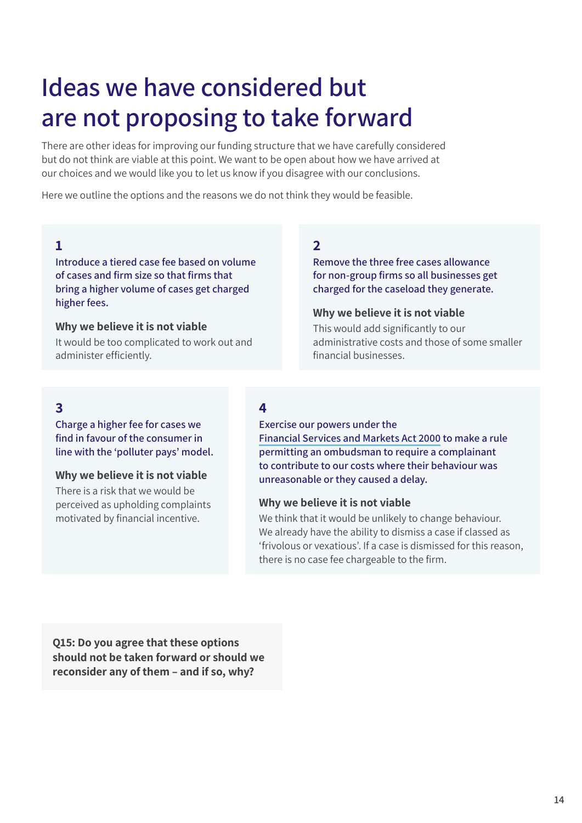## <span id="page-13-0"></span>Ideas we have considered but are not proposing to take forward

There are other ideas for improving our funding structure that we have carefully considered but do not think are viable at this point. We want to be open about how we have arrived at our choices and we would like you to let us know if you disagree with our conclusions.

Here we outline the options and the reasons we do not think they would be feasible.

#### 1

Introduce a tiered case fee based on volume of cases and firm size so that firms that bring a higher volume of cases get charged higher fees.

#### Why we believe it is not viable

It would be too complicated to work out and administer efficiently.

#### 2

Remove the three free cases allowance for non‑group firms so all businesses get charged for the caseload they generate.

#### Why we believe it is not viable

This would add significantly to our administrative costs and those of some smaller financial businesses.

### 3

Charge a higher fee for cases we find in favour of the consumer in line with the 'polluter pays' model.

#### Why we believe it is not viable

There is a risk that we would be perceived as upholding complaints motivated by financial incentive.

#### 4

Exercise our powers under the

[Financial Services and Markets Act 2000](https://www.legislation.gov.uk/ukpga/2000/8/section/230) to make a rule permitting an ombudsman to require a complainant to contribute to our costs where their behaviour was unreasonable or they caused a delay.

#### Why we believe it is not viable

We think that it would be unlikely to change behaviour. We already have the ability to dismiss a case if classed as 'frivolous or vexatious'. If a case is dismissed for this reason, there is no case fee chargeable to the firm.

Q15: Do you agree that these options should not be taken forward or should we reconsider any of them – and if so, why?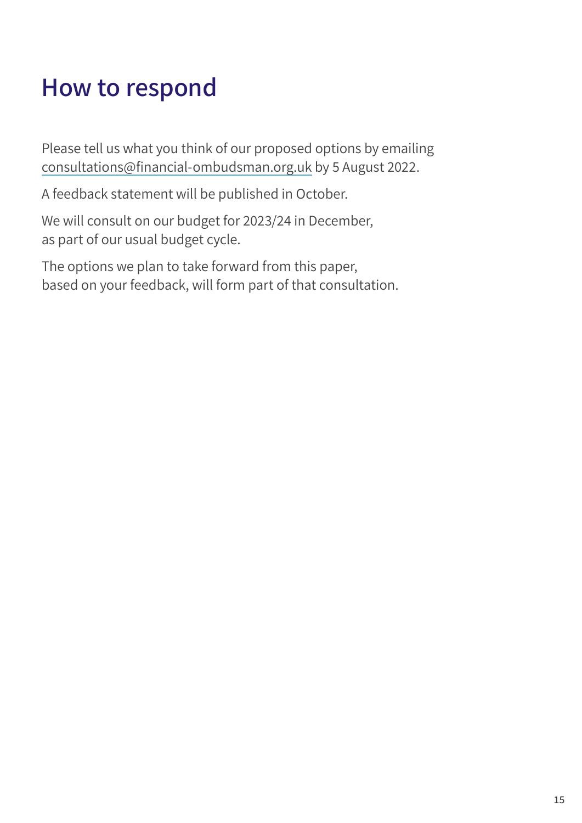## <span id="page-14-0"></span>How to respond

Please tell us what you think of our proposed options by emailing [consultations@financial‑ombudsman.org.uk](mailto:consultations%40financial-ombudsman.org.uk?subject=) by 5 August 2022.

A feedback statement will be published in October.

We will consult on our budget for 2023/24 in December, as part of our usual budget cycle.

The options we plan to take forward from this paper, based on your feedback, will form part of that consultation.